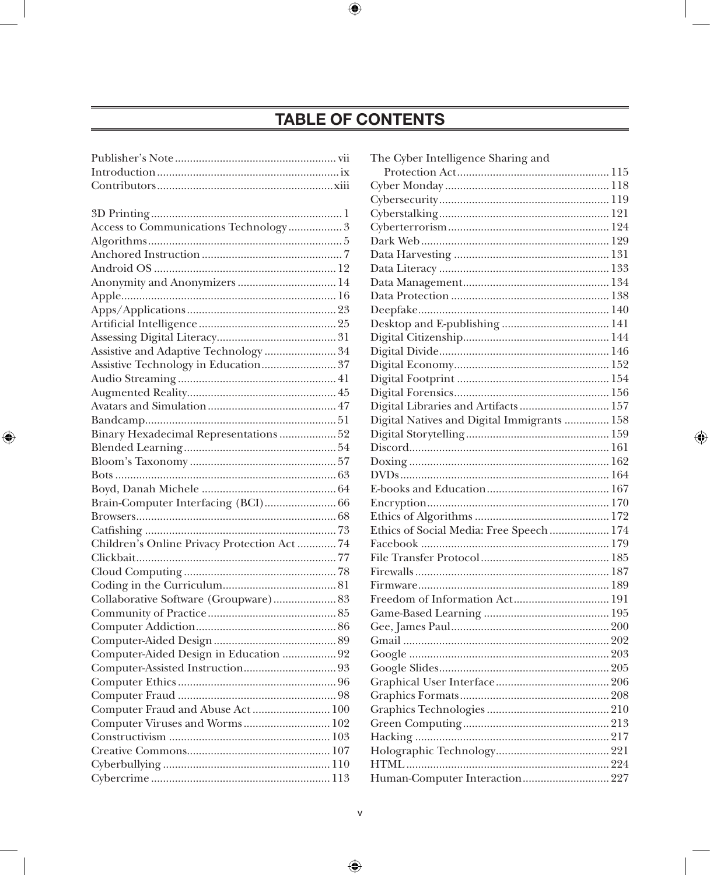## TABLE OF CONTENTS

| Access to Communications Technology 3       |  |
|---------------------------------------------|--|
|                                             |  |
|                                             |  |
|                                             |  |
| Anonymity and Anonymizers  14               |  |
|                                             |  |
|                                             |  |
|                                             |  |
|                                             |  |
| Assistive and Adaptive Technology  34       |  |
|                                             |  |
|                                             |  |
|                                             |  |
|                                             |  |
|                                             |  |
| Binary Hexadecimal Representations  52      |  |
|                                             |  |
|                                             |  |
|                                             |  |
|                                             |  |
|                                             |  |
|                                             |  |
|                                             |  |
| Children's Online Privacy Protection Act 74 |  |
|                                             |  |
|                                             |  |
|                                             |  |
| Collaborative Software (Groupware) 83       |  |
|                                             |  |
|                                             |  |
|                                             |  |
| Computer-Aided Design in Education  92      |  |
|                                             |  |
|                                             |  |
|                                             |  |
| Computer Fraud and Abuse Act  100           |  |
| Computer Viruses and Worms 102              |  |
|                                             |  |
|                                             |  |
|                                             |  |
|                                             |  |

| The Cyber Intelligence Sharing and          |
|---------------------------------------------|
|                                             |
|                                             |
|                                             |
|                                             |
|                                             |
|                                             |
|                                             |
|                                             |
|                                             |
|                                             |
|                                             |
|                                             |
|                                             |
|                                             |
|                                             |
|                                             |
|                                             |
| Digital Libraries and Artifacts 157         |
| Digital Natives and Digital Immigrants  158 |
|                                             |
|                                             |
|                                             |
|                                             |
|                                             |
|                                             |
|                                             |
|                                             |
| Ethics of Social Media: Free Speech  174    |
|                                             |
|                                             |
|                                             |
|                                             |
| Freedom of Information Act 191              |
|                                             |
|                                             |
|                                             |
|                                             |
|                                             |
|                                             |
|                                             |
|                                             |
|                                             |
|                                             |
|                                             |
|                                             |
|                                             |